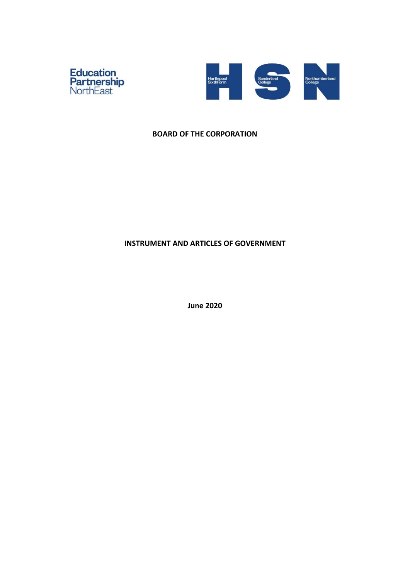



### **BOARD OF THE CORPORATION**

# **INSTRUMENT AND ARTICLES OF GOVERNMENT**

**June 2020**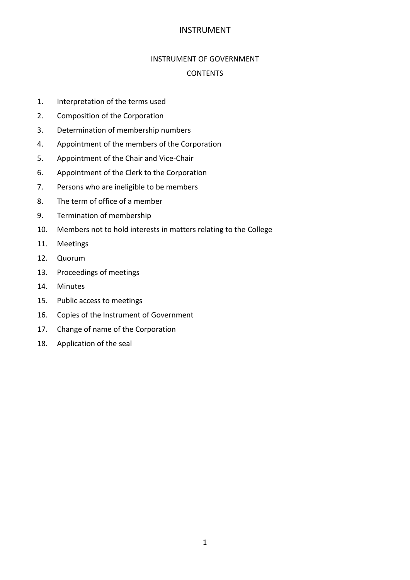### INSTRUMENT OF GOVERNMENT

## CONTENTS

- 1. Interpretation of the terms used
- 2. Composition of the Corporation
- 3. Determination of membership numbers
- 4. Appointment of the members of the Corporation
- 5. Appointment of the Chair and Vice-Chair
- 6. Appointment of the Clerk to the Corporation
- 7. Persons who are ineligible to be members
- 8. The term of office of a member
- 9. Termination of membership
- 10. Members not to hold interests in matters relating to the College
- 11. Meetings
- 12. Quorum
- 13. Proceedings of meetings
- 14. Minutes
- 15. Public access to meetings
- 16. Copies of the Instrument of Government
- 17. Change of name of the Corporation
- 18. Application of the seal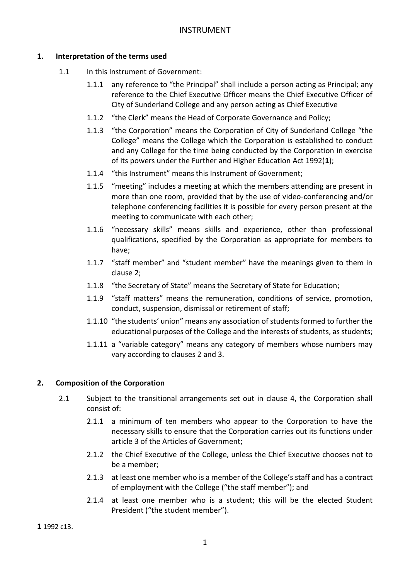# **1. Interpretation of the terms used**

- 1.1 In this Instrument of Government:
	- 1.1.1 any reference to "the Principal" shall include a person acting as Principal; any reference to the Chief Executive Officer means the Chief Executive Officer of City of Sunderland College and any person acting as Chief Executive
	- 1.1.2 "the Clerk" means the Head of Corporate Governance and Policy;
	- 1.1.3 "the Corporation" means the Corporation of City of Sunderland College "the College" means the College which the Corporation is established to conduct and any College for the time being conducted by the Corporation in exercise of its powers under the Further and Higher Education Act 1992(**1**);
	- 1.1.4 "this Instrument" means this Instrument of Government;
	- 1.1.5 "meeting" includes a meeting at which the members attending are present in more than one room, provided that by the use of video-conferencing and/or telephone conferencing facilities it is possible for every person present at the meeting to communicate with each other;
	- 1.1.6 "necessary skills" means skills and experience, other than professional qualifications, specified by the Corporation as appropriate for members to have;
	- 1.1.7 "staff member" and "student member" have the meanings given to them in clause 2;
	- 1.1.8 "the Secretary of State" means the Secretary of State for Education;
	- 1.1.9 "staff matters" means the remuneration, conditions of service, promotion, conduct, suspension, dismissal or retirement of staff;
	- 1.1.10 "the students' union" means any association of students formed to further the educational purposes of the College and the interests of students, as students;
	- 1.1.11 a "variable category" means any category of members whose numbers may vary according to clauses 2 and 3.

# **2. Composition of the Corporation**

- 2.1 Subject to the transitional arrangements set out in clause 4, the Corporation shall consist of:
	- 2.1.1 a minimum of ten members who appear to the Corporation to have the necessary skills to ensure that the Corporation carries out its functions under article 3 of the Articles of Government;
	- 2.1.2 the Chief Executive of the College, unless the Chief Executive chooses not to be a member;
	- 2.1.3 at least one member who is a member of the College's staff and has a contract of employment with the College ("the staff member"); and
	- 2.1.4 at least one member who is a student; this will be the elected Student President ("the student member").

<sup>-</sup>**1** 1992 c13.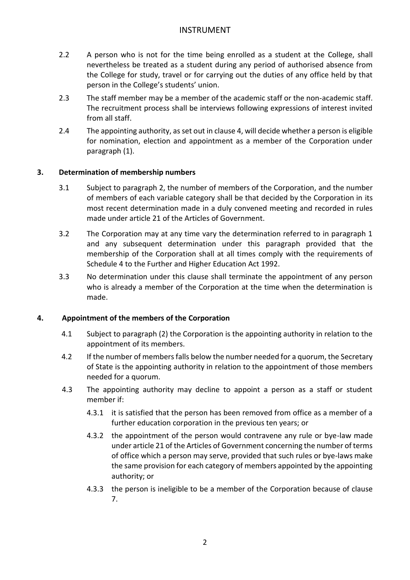- 2.2 A person who is not for the time being enrolled as a student at the College, shall nevertheless be treated as a student during any period of authorised absence from the College for study, travel or for carrying out the duties of any office held by that person in the College's students' union.
- 2.3 The staff member may be a member of the academic staff or the non-academic staff. The recruitment process shall be interviews following expressions of interest invited from all staff.
- 2.4 The appointing authority, as set out in clause 4, will decide whether a person is eligible for nomination, election and appointment as a member of the Corporation under paragraph (1).

## **3. Determination of membership numbers**

- 3.1 Subject to paragraph 2, the number of members of the Corporation, and the number of members of each variable category shall be that decided by the Corporation in its most recent determination made in a duly convened meeting and recorded in rules made under article 21 of the Articles of Government.
- 3.2 The Corporation may at any time vary the determination referred to in paragraph 1 and any subsequent determination under this paragraph provided that the membership of the Corporation shall at all times comply with the requirements of Schedule 4 to the Further and Higher Education Act 1992.
- 3.3 No determination under this clause shall terminate the appointment of any person who is already a member of the Corporation at the time when the determination is made.

## **4. Appointment of the members of the Corporation**

- 4.1 Subject to paragraph (2) the Corporation is the appointing authority in relation to the appointment of its members.
- 4.2 If the number of members falls below the number needed for a quorum, the Secretary of State is the appointing authority in relation to the appointment of those members needed for a quorum.
- 4.3 The appointing authority may decline to appoint a person as a staff or student member if:
	- 4.3.1 it is satisfied that the person has been removed from office as a member of a further education corporation in the previous ten years; or
	- 4.3.2 the appointment of the person would contravene any rule or bye-law made under article 21 of the Articles of Government concerning the number of terms of office which a person may serve, provided that such rules or bye-laws make the same provision for each category of members appointed by the appointing authority; or
	- 4.3.3 the person is ineligible to be a member of the Corporation because of clause 7.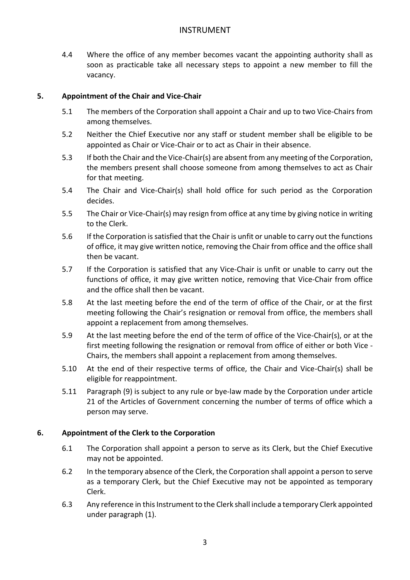4.4 Where the office of any member becomes vacant the appointing authority shall as soon as practicable take all necessary steps to appoint a new member to fill the vacancy.

### **5. Appointment of the Chair and Vice-Chair**

- 5.1 The members of the Corporation shall appoint a Chair and up to two Vice-Chairs from among themselves.
- 5.2 Neither the Chief Executive nor any staff or student member shall be eligible to be appointed as Chair or Vice-Chair or to act as Chair in their absence.
- 5.3 If both the Chair and the Vice-Chair(s) are absent from any meeting of the Corporation, the members present shall choose someone from among themselves to act as Chair for that meeting.
- 5.4 The Chair and Vice-Chair(s) shall hold office for such period as the Corporation decides.
- 5.5 The Chair or Vice-Chair(s) may resign from office at any time by giving notice in writing to the Clerk.
- 5.6 If the Corporation is satisfied that the Chair is unfit or unable to carry out the functions of office, it may give written notice, removing the Chair from office and the office shall then be vacant.
- 5.7 If the Corporation is satisfied that any Vice-Chair is unfit or unable to carry out the functions of office, it may give written notice, removing that Vice-Chair from office and the office shall then be vacant.
- 5.8 At the last meeting before the end of the term of office of the Chair, or at the first meeting following the Chair's resignation or removal from office, the members shall appoint a replacement from among themselves.
- 5.9 At the last meeting before the end of the term of office of the Vice-Chair(s), or at the first meeting following the resignation or removal from office of either or both Vice - Chairs, the members shall appoint a replacement from among themselves.
- 5.10 At the end of their respective terms of office, the Chair and Vice-Chair(s) shall be eligible for reappointment.
- 5.11 Paragraph (9) is subject to any rule or bye-law made by the Corporation under article 21 of the Articles of Government concerning the number of terms of office which a person may serve.

#### **6. Appointment of the Clerk to the Corporation**

- 6.1 The Corporation shall appoint a person to serve as its Clerk, but the Chief Executive may not be appointed.
- 6.2 In the temporary absence of the Clerk, the Corporation shall appoint a person to serve as a temporary Clerk, but the Chief Executive may not be appointed as temporary Clerk.
- 6.3 Any reference in this Instrument to the Clerk shall include a temporary Clerk appointed under paragraph (1).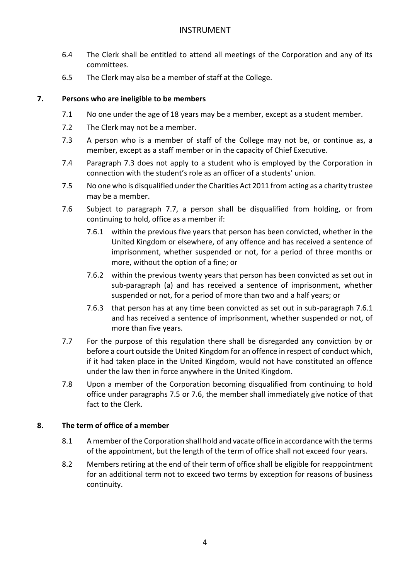- 6.4 The Clerk shall be entitled to attend all meetings of the Corporation and any of its committees.
- 6.5 The Clerk may also be a member of staff at the College.

# **7. Persons who are ineligible to be members**

- 7.1 No one under the age of 18 years may be a member, except as a student member.
- 7.2 The Clerk may not be a member.
- 7.3 A person who is a member of staff of the College may not be, or continue as, a member, except as a staff member or in the capacity of Chief Executive.
- 7.4 Paragraph 7.3 does not apply to a student who is employed by the Corporation in connection with the student's role as an officer of a students' union.
- 7.5 No one who is disqualified under the Charities Act 2011 from acting as a charity trustee may be a member.
- 7.6 Subject to paragraph 7.7, a person shall be disqualified from holding, or from continuing to hold, office as a member if:
	- 7.6.1 within the previous five years that person has been convicted, whether in the United Kingdom or elsewhere, of any offence and has received a sentence of imprisonment, whether suspended or not, for a period of three months or more, without the option of a fine; or
	- 7.6.2 within the previous twenty years that person has been convicted as set out in sub-paragraph (a) and has received a sentence of imprisonment, whether suspended or not, for a period of more than two and a half years; or
	- 7.6.3 that person has at any time been convicted as set out in sub-paragraph 7.6.1 and has received a sentence of imprisonment, whether suspended or not, of more than five years.
- 7.7 For the purpose of this regulation there shall be disregarded any conviction by or before a court outside the United Kingdom for an offence in respect of conduct which, if it had taken place in the United Kingdom, would not have constituted an offence under the law then in force anywhere in the United Kingdom.
- 7.8 Upon a member of the Corporation becoming disqualified from continuing to hold office under paragraphs 7.5 or 7.6, the member shall immediately give notice of that fact to the Clerk.

## **8. The term of office of a member**

- 8.1 A member of the Corporation shall hold and vacate office in accordance with the terms of the appointment, but the length of the term of office shall not exceed four years.
- 8.2 Members retiring at the end of their term of office shall be eligible for reappointment for an additional term not to exceed two terms by exception for reasons of business continuity.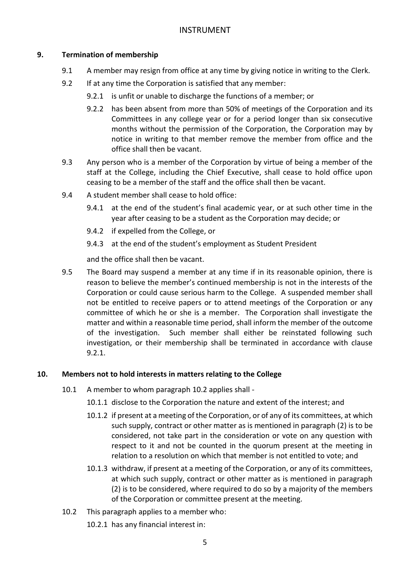# **9. Termination of membership**

- 9.1 A member may resign from office at any time by giving notice in writing to the Clerk.
- 9.2 If at any time the Corporation is satisfied that any member:
	- 9.2.1 is unfit or unable to discharge the functions of a member; or
	- 9.2.2 has been absent from more than 50% of meetings of the Corporation and its Committees in any college year or for a period longer than six consecutive months without the permission of the Corporation, the Corporation may by notice in writing to that member remove the member from office and the office shall then be vacant.
- 9.3 Any person who is a member of the Corporation by virtue of being a member of the staff at the College, including the Chief Executive, shall cease to hold office upon ceasing to be a member of the staff and the office shall then be vacant.
- 9.4 A student member shall cease to hold office:
	- 9.4.1 at the end of the student's final academic year, or at such other time in the year after ceasing to be a student as the Corporation may decide; or
	- 9.4.2 if expelled from the College, or
	- 9.4.3 at the end of the student's employment as Student President

and the office shall then be vacant.

9.5 The Board may suspend a member at any time if in its reasonable opinion, there is reason to believe the member's continued membership is not in the interests of the Corporation or could cause serious harm to the College. A suspended member shall not be entitled to receive papers or to attend meetings of the Corporation or any committee of which he or she is a member. The Corporation shall investigate the matter and within a reasonable time period, shall inform the member of the outcome of the investigation. Such member shall either be reinstated following such investigation, or their membership shall be terminated in accordance with clause 9.2.1.

## **10. Members not to hold interests in matters relating to the College**

- 10.1 A member to whom paragraph 10.2 applies shall
	- 10.1.1 disclose to the Corporation the nature and extent of the interest; and
	- 10.1.2 if present at a meeting of the Corporation, or of any of its committees, at which such supply, contract or other matter as is mentioned in paragraph (2) is to be considered, not take part in the consideration or vote on any question with respect to it and not be counted in the quorum present at the meeting in relation to a resolution on which that member is not entitled to vote; and
	- 10.1.3 withdraw, if present at a meeting of the Corporation, or any of its committees, at which such supply, contract or other matter as is mentioned in paragraph (2) is to be considered, where required to do so by a majority of the members of the Corporation or committee present at the meeting.
- 10.2 This paragraph applies to a member who:
	- 10.2.1 has any financial interest in: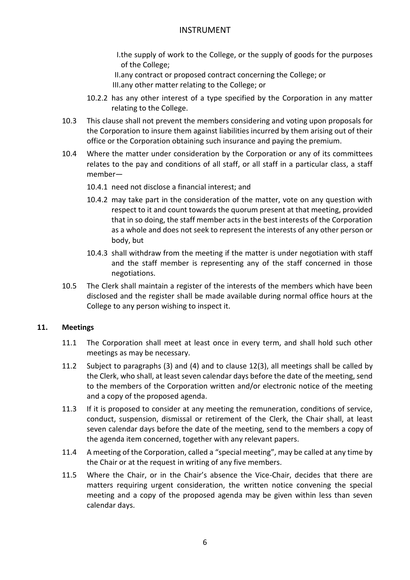I.the supply of work to the College, or the supply of goods for the purposes of the College;

II.any contract or proposed contract concerning the College; or III.any other matter relating to the College; or

- 10.2.2 has any other interest of a type specified by the Corporation in any matter relating to the College.
- 10.3 This clause shall not prevent the members considering and voting upon proposals for the Corporation to insure them against liabilities incurred by them arising out of their office or the Corporation obtaining such insurance and paying the premium.
- 10.4 Where the matter under consideration by the Corporation or any of its committees relates to the pay and conditions of all staff, or all staff in a particular class, a staff member—
	- 10.4.1 need not disclose a financial interest; and
	- 10.4.2 may take part in the consideration of the matter, vote on any question with respect to it and count towards the quorum present at that meeting, provided that in so doing, the staff member acts in the best interests of the Corporation as a whole and does not seek to represent the interests of any other person or body, but
	- 10.4.3 shall withdraw from the meeting if the matter is under negotiation with staff and the staff member is representing any of the staff concerned in those negotiations.
- 10.5 The Clerk shall maintain a register of the interests of the members which have been disclosed and the register shall be made available during normal office hours at the College to any person wishing to inspect it.

#### **11. Meetings**

- 11.1 The Corporation shall meet at least once in every term, and shall hold such other meetings as may be necessary.
- 11.2 Subject to paragraphs (3) and (4) and to clause 12(3), all meetings shall be called by the Clerk, who shall, at least seven calendar days before the date of the meeting, send to the members of the Corporation written and/or electronic notice of the meeting and a copy of the proposed agenda.
- 11.3 If it is proposed to consider at any meeting the remuneration, conditions of service, conduct, suspension, dismissal or retirement of the Clerk, the Chair shall, at least seven calendar days before the date of the meeting, send to the members a copy of the agenda item concerned, together with any relevant papers.
- 11.4 A meeting of the Corporation, called a "special meeting", may be called at any time by the Chair or at the request in writing of any five members.
- 11.5 Where the Chair, or in the Chair's absence the Vice-Chair, decides that there are matters requiring urgent consideration, the written notice convening the special meeting and a copy of the proposed agenda may be given within less than seven calendar days.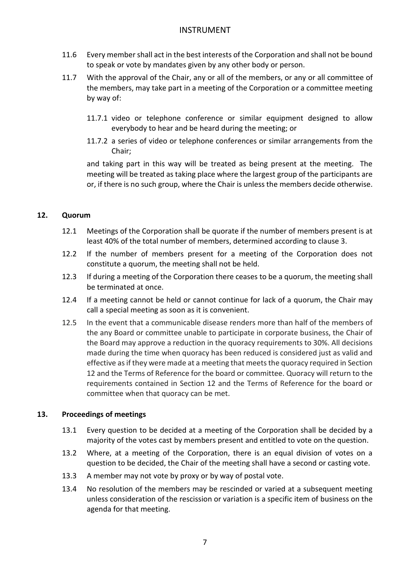- 11.6 Every member shall act in the best interests of the Corporation and shall not be bound to speak or vote by mandates given by any other body or person.
- 11.7 With the approval of the Chair, any or all of the members, or any or all committee of the members, may take part in a meeting of the Corporation or a committee meeting by way of:
	- 11.7.1 video or telephone conference or similar equipment designed to allow everybody to hear and be heard during the meeting; or
	- 11.7.2 a series of video or telephone conferences or similar arrangements from the Chair;

and taking part in this way will be treated as being present at the meeting. The meeting will be treated as taking place where the largest group of the participants are or, if there is no such group, where the Chair is unless the members decide otherwise.

## **12. Quorum**

- 12.1 Meetings of the Corporation shall be quorate if the number of members present is at least 40% of the total number of members, determined according to clause 3.
- 12.2 If the number of members present for a meeting of the Corporation does not constitute a quorum, the meeting shall not be held.
- 12.3 If during a meeting of the Corporation there ceases to be a quorum, the meeting shall be terminated at once.
- 12.4 If a meeting cannot be held or cannot continue for lack of a quorum, the Chair may call a special meeting as soon as it is convenient.
- 12.5 In the event that a communicable disease renders more than half of the members of the any Board or committee unable to participate in corporate business, the Chair of the Board may approve a reduction in the quoracy requirements to 30%. All decisions made during the time when quoracy has been reduced is considered just as valid and effective as if they were made at a meeting that meets the quoracy required in Section 12 and the Terms of Reference for the board or committee. Quoracy will return to the requirements contained in Section 12 and the Terms of Reference for the board or committee when that quoracy can be met.

#### **13. Proceedings of meetings**

- 13.1 Every question to be decided at a meeting of the Corporation shall be decided by a majority of the votes cast by members present and entitled to vote on the question.
- 13.2 Where, at a meeting of the Corporation, there is an equal division of votes on a question to be decided, the Chair of the meeting shall have a second or casting vote.
- 13.3 A member may not vote by proxy or by way of postal vote.
- 13.4 No resolution of the members may be rescinded or varied at a subsequent meeting unless consideration of the rescission or variation is a specific item of business on the agenda for that meeting.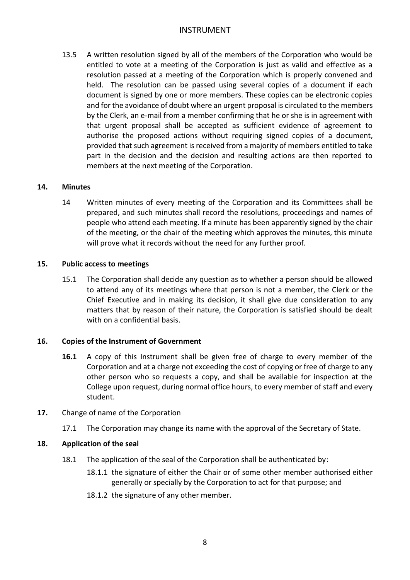13.5 A written resolution signed by all of the members of the Corporation who would be entitled to vote at a meeting of the Corporation is just as valid and effective as a resolution passed at a meeting of the Corporation which is properly convened and held. The resolution can be passed using several copies of a document if each document is signed by one or more members. These copies can be electronic copies and for the avoidance of doubt where an urgent proposal is circulated to the members by the Clerk, an e-mail from a member confirming that he or she is in agreement with that urgent proposal shall be accepted as sufficient evidence of agreement to authorise the proposed actions without requiring signed copies of a document, provided that such agreement is received from a majority of members entitled to take part in the decision and the decision and resulting actions are then reported to members at the next meeting of the Corporation.

#### **14. Minutes**

14 Written minutes of every meeting of the Corporation and its Committees shall be prepared, and such minutes shall record the resolutions, proceedings and names of people who attend each meeting. If a minute has been apparently signed by the chair of the meeting, or the chair of the meeting which approves the minutes, this minute will prove what it records without the need for any further proof.

#### **15. Public access to meetings**

15.1 The Corporation shall decide any question as to whether a person should be allowed to attend any of its meetings where that person is not a member, the Clerk or the Chief Executive and in making its decision, it shall give due consideration to any matters that by reason of their nature, the Corporation is satisfied should be dealt with on a confidential basis.

#### **16. Copies of the Instrument of Government**

- **16.1** A copy of this Instrument shall be given free of charge to every member of the Corporation and at a charge not exceeding the cost of copying or free of charge to any other person who so requests a copy, and shall be available for inspection at the College upon request, during normal office hours, to every member of staff and every student.
- **17.** Change of name of the Corporation
	- 17.1 The Corporation may change its name with the approval of the Secretary of State.

#### **18. Application of the seal**

- 18.1 The application of the seal of the Corporation shall be authenticated by:
	- 18.1.1 the signature of either the Chair or of some other member authorised either generally or specially by the Corporation to act for that purpose; and
	- 18.1.2 the signature of any other member.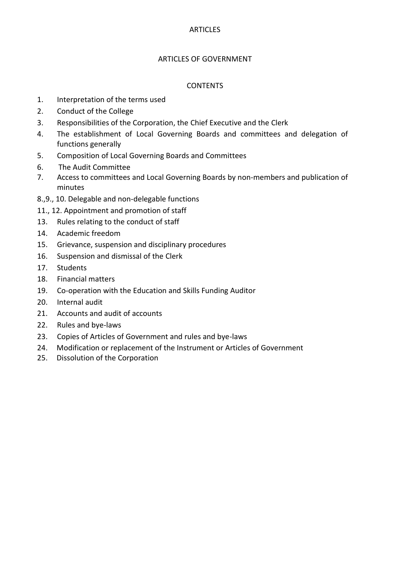### ARTICLES OF GOVERNMENT

### CONTENTS

- 1. Interpretation of the terms used
- 2. Conduct of the College
- 3. Responsibilities of the Corporation, the Chief Executive and the Clerk
- 4. The establishment of Local Governing Boards and committees and delegation of functions generally
- 5. Composition of Local Governing Boards and Committees
- 6. The Audit Committee
- 7. Access to committees and Local Governing Boards by non-members and publication of minutes
- 8.,9., 10. Delegable and non-delegable functions
- 11., 12. Appointment and promotion of staff
- 13. Rules relating to the conduct of staff
- 14. Academic freedom
- 15. Grievance, suspension and disciplinary procedures
- 16. Suspension and dismissal of the Clerk
- 17. Students
- 18. Financial matters
- 19. Co-operation with the Education and Skills Funding Auditor
- 20. Internal audit
- 21. Accounts and audit of accounts
- 22. Rules and bye-laws
- 23. Copies of Articles of Government and rules and bye-laws
- 24. Modification or replacement of the Instrument or Articles of Government
- 25. Dissolution of the Corporation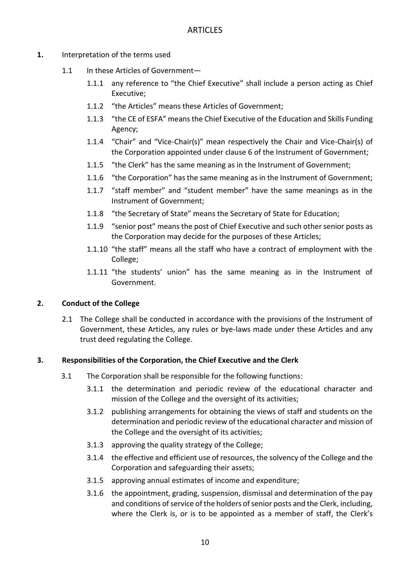- **1.** Interpretation of the terms used
	- 1.1 In these Articles of Government-
		- 1.1.1 any reference to "the Chief Executive" shall include a person acting as Chief Executive;
		- 1.1.2 "the Articles" means these Articles of Government;
		- 1.1.3 "the CE of ESFA" means the Chief Executive of the Education and Skills Funding Agency;
		- 1.1.4 "Chair" and "Vice-Chair(s)" mean respectively the Chair and Vice-Chair(s) of the Corporation appointed under clause 6 of the Instrument of Government;
		- 1.1.5 "the Clerk" has the same meaning as in the Instrument of Government;
		- 1.1.6 "the Corporation" has the same meaning as in the Instrument of Government:
		- 1.1.7 "staff member" and "student member" have the same meanings as in the Instrument of Government;
		- 1.1.8 "the Secretary of State" means the Secretary of State for Education;
		- 1.1.9 "senior post" means the post of Chief Executive and such other senior posts as the Corporation may decide for the purposes of these Articles;
		- 1.1.10 "the staff" means all the staff who have a contract of employment with the College;
		- 1.1.11 "the students' union" has the same meaning as in the Instrument of Government.

#### **2. Conduct of the College**

2.1 The College shall be conducted in accordance with the provisions of the Instrument of Government, these Articles, any rules or bye-laws made under these Articles and any trust deed regulating the College.

#### **3. Responsibilities of the Corporation, the Chief Executive and the Clerk**

- 3.1 The Corporation shall be responsible for the following functions:
	- 3.1.1 the determination and periodic review of the educational character and mission of the College and the oversight of its activities;
	- 3.1.2 publishing arrangements for obtaining the views of staff and students on the determination and periodic review of the educational character and mission of the College and the oversight of its activities;
	- 3.1.3 approving the quality strategy of the College;
	- 3.1.4 the effective and efficient use of resources, the solvency of the College and the Corporation and safeguarding their assets;
	- 3.1.5 approving annual estimates of income and expenditure;
	- 3.1.6 the appointment, grading, suspension, dismissal and determination of the pay and conditions of service of the holders of senior posts and the Clerk, including, where the Clerk is, or is to be appointed as a member of staff, the Clerk's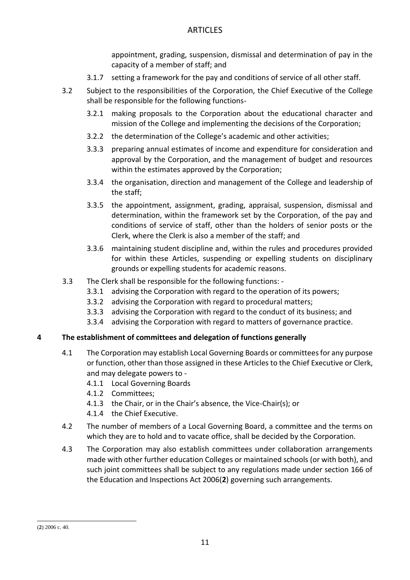appointment, grading, suspension, dismissal and determination of pay in the capacity of a member of staff; and

- 3.1.7 setting a framework for the pay and conditions of service of all other staff.
- 3.2 Subject to the responsibilities of the Corporation, the Chief Executive of the College shall be responsible for the following functions-
	- 3.2.1 making proposals to the Corporation about the educational character and mission of the College and implementing the decisions of the Corporation;
	- 3.2.2 the determination of the College's academic and other activities;
	- 3.3.3 preparing annual estimates of income and expenditure for consideration and approval by the Corporation, and the management of budget and resources within the estimates approved by the Corporation;
	- 3.3.4 the organisation, direction and management of the College and leadership of the staff;
	- 3.3.5 the appointment, assignment, grading, appraisal, suspension, dismissal and determination, within the framework set by the Corporation, of the pay and conditions of service of staff, other than the holders of senior posts or the Clerk, where the Clerk is also a member of the staff; and
	- 3.3.6 maintaining student discipline and, within the rules and procedures provided for within these Articles, suspending or expelling students on disciplinary grounds or expelling students for academic reasons.
- 3.3 The Clerk shall be responsible for the following functions:
	- 3.3.1 advising the Corporation with regard to the operation of its powers;
	- 3.3.2 advising the Corporation with regard to procedural matters;
	- 3.3.3 advising the Corporation with regard to the conduct of its business; and
	- 3.3.4 advising the Corporation with regard to matters of governance practice.

## **4 The establishment of committees and delegation of functions generally**

- 4.1 The Corporation may establish Local Governing Boards or committees for any purpose or function, other than those assigned in these Articles to the Chief Executive or Clerk, and may delegate powers to -
	- 4.1.1 Local Governing Boards
	- 4.1.2 Committees;
	- 4.1.3 the Chair, or in the Chair's absence, the Vice-Chair(s); or
	- 4.1.4 the Chief Executive.
- 4.2 The number of members of a Local Governing Board, a committee and the terms on which they are to hold and to vacate office, shall be decided by the Corporation.
- 4.3 The Corporation may also establish committees under collaboration arrangements made with other further education Colleges or maintained schools (or with both), and such joint committees shall be subject to any regulations made under section 166 of the Education and Inspections Act 2006(**2**) governing such arrangements.

<sup>-</sup>(**2**) 2006 c. 40.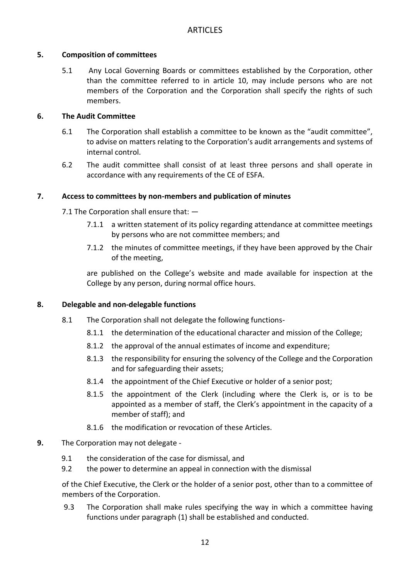## **5. Composition of committees**

5.1 Any Local Governing Boards or committees established by the Corporation, other than the committee referred to in article 10, may include persons who are not members of the Corporation and the Corporation shall specify the rights of such members.

## **6. The Audit Committee**

- 6.1 The Corporation shall establish a committee to be known as the "audit committee", to advise on matters relating to the Corporation's audit arrangements and systems of internal control.
- 6.2 The audit committee shall consist of at least three persons and shall operate in accordance with any requirements of the CE of ESFA.

# **7. Access to committees by non-members and publication of minutes**

7.1 The Corporation shall ensure that: —

- 7.1.1 a written statement of its policy regarding attendance at committee meetings by persons who are not committee members; and
- 7.1.2 the minutes of committee meetings, if they have been approved by the Chair of the meeting,

are published on the College's website and made available for inspection at the College by any person, during normal office hours.

## **8. Delegable and non-delegable functions**

- 8.1 The Corporation shall not delegate the following functions-
	- 8.1.1 the determination of the educational character and mission of the College;
	- 8.1.2 the approval of the annual estimates of income and expenditure;
	- 8.1.3 the responsibility for ensuring the solvency of the College and the Corporation and for safeguarding their assets;
	- 8.1.4 the appointment of the Chief Executive or holder of a senior post;
	- 8.1.5 the appointment of the Clerk (including where the Clerk is, or is to be appointed as a member of staff, the Clerk's appointment in the capacity of a member of staff); and
	- 8.1.6 the modification or revocation of these Articles.
- **9.** The Corporation may not delegate
	- 9.1 the consideration of the case for dismissal, and
	- 9.2 the power to determine an appeal in connection with the dismissal

of the Chief Executive, the Clerk or the holder of a senior post, other than to a committee of members of the Corporation.

9.3 The Corporation shall make rules specifying the way in which a committee having functions under paragraph (1) shall be established and conducted.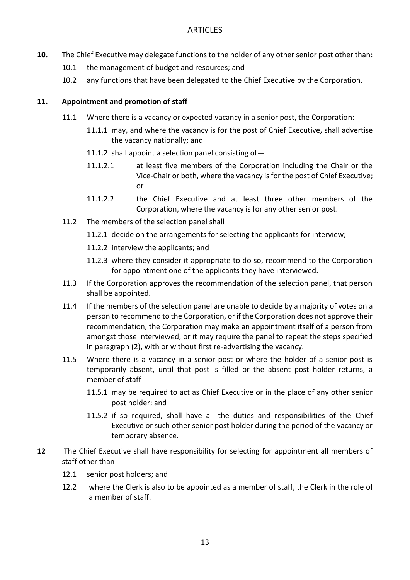- **10.** The Chief Executive may delegate functions to the holder of any other senior post other than:
	- 10.1 the management of budget and resources; and
	- 10.2 any functions that have been delegated to the Chief Executive by the Corporation.

### **11. Appointment and promotion of staff**

- 11.1 Where there is a vacancy or expected vacancy in a senior post, the Corporation:
	- 11.1.1 may, and where the vacancy is for the post of Chief Executive, shall advertise the vacancy nationally; and
	- 11.1.2 shall appoint a selection panel consisting of  $-$
	- 11.1.2.1 at least five members of the Corporation including the Chair or the Vice-Chair or both, where the vacancy is for the post of Chief Executive; or
	- 11.1.2.2 the Chief Executive and at least three other members of the Corporation, where the vacancy is for any other senior post.
- 11.2 The members of the selection panel shall—
	- 11.2.1 decide on the arrangements for selecting the applicants for interview;
	- 11.2.2 interview the applicants; and
	- 11.2.3 where they consider it appropriate to do so, recommend to the Corporation for appointment one of the applicants they have interviewed.
- 11.3 If the Corporation approves the recommendation of the selection panel, that person shall be appointed.
- 11.4 If the members of the selection panel are unable to decide by a majority of votes on a person to recommend to the Corporation, or if the Corporation does not approve their recommendation, the Corporation may make an appointment itself of a person from amongst those interviewed, or it may require the panel to repeat the steps specified in paragraph (2), with or without first re-advertising the vacancy.
- 11.5 Where there is a vacancy in a senior post or where the holder of a senior post is temporarily absent, until that post is filled or the absent post holder returns, a member of staff-
	- 11.5.1 may be required to act as Chief Executive or in the place of any other senior post holder; and
	- 11.5.2 if so required, shall have all the duties and responsibilities of the Chief Executive or such other senior post holder during the period of the vacancy or temporary absence.
- **12** The Chief Executive shall have responsibility for selecting for appointment all members of staff other than -
	- 12.1 senior post holders; and
	- 12.2 where the Clerk is also to be appointed as a member of staff, the Clerk in the role of a member of staff.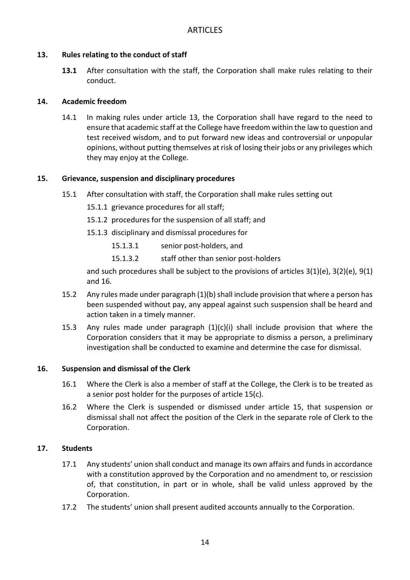#### **13. Rules relating to the conduct of staff**

**13.1** After consultation with the staff, the Corporation shall make rules relating to their conduct.

#### **14. Academic freedom**

14.1 In making rules under article 13, the Corporation shall have regard to the need to ensure that academic staff at the College have freedom within the law to question and test received wisdom, and to put forward new ideas and controversial or unpopular opinions, without putting themselves at risk of losing their jobs or any privileges which they may enjoy at the College.

#### **15. Grievance, suspension and disciplinary procedures**

- 15.1 After consultation with staff, the Corporation shall make rules setting out
	- 15.1.1 grievance procedures for all staff;
	- 15.1.2 procedures for the suspension of all staff; and
	- 15.1.3 disciplinary and dismissal procedures for
		- 15.1.3.1 senior post-holders, and
		- 15.1.3.2 staff other than senior post-holders

and such procedures shall be subject to the provisions of articles 3(1)(e), 3(2)(e), 9(1) and 16.

- 15.2 Any rules made under paragraph (1)(b) shall include provision that where a person has been suspended without pay, any appeal against such suspension shall be heard and action taken in a timely manner.
- 15.3 Any rules made under paragraph (1)(c)(i) shall include provision that where the Corporation considers that it may be appropriate to dismiss a person, a preliminary investigation shall be conducted to examine and determine the case for dismissal.

#### **16. Suspension and dismissal of the Clerk**

- 16.1 Where the Clerk is also a member of staff at the College, the Clerk is to be treated as a senior post holder for the purposes of article 15(c).
- 16.2 Where the Clerk is suspended or dismissed under article 15, that suspension or dismissal shall not affect the position of the Clerk in the separate role of Clerk to the Corporation.

## **17. Students**

- 17.1 Any students' union shall conduct and manage its own affairs and funds in accordance with a constitution approved by the Corporation and no amendment to, or rescission of, that constitution, in part or in whole, shall be valid unless approved by the Corporation.
- 17.2 The students' union shall present audited accounts annually to the Corporation.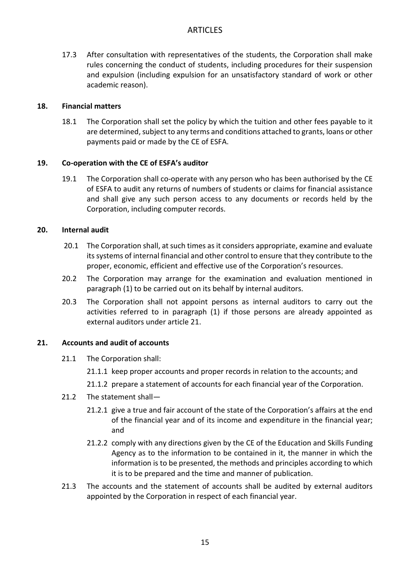17.3 After consultation with representatives of the students, the Corporation shall make rules concerning the conduct of students, including procedures for their suspension and expulsion (including expulsion for an unsatisfactory standard of work or other academic reason).

#### **18. Financial matters**

18.1 The Corporation shall set the policy by which the tuition and other fees payable to it are determined, subject to any terms and conditions attached to grants, loans or other payments paid or made by the CE of ESFA.

#### **19. Co-operation with the CE of ESFA's auditor**

19.1 The Corporation shall co-operate with any person who has been authorised by the CE of ESFA to audit any returns of numbers of students or claims for financial assistance and shall give any such person access to any documents or records held by the Corporation, including computer records.

#### **20. Internal audit**

- 20.1 The Corporation shall, at such times as it considers appropriate, examine and evaluate its systems of internal financial and other control to ensure that they contribute to the proper, economic, efficient and effective use of the Corporation's resources.
- 20.2 The Corporation may arrange for the examination and evaluation mentioned in paragraph (1) to be carried out on its behalf by internal auditors.
- 20.3 The Corporation shall not appoint persons as internal auditors to carry out the activities referred to in paragraph (1) if those persons are already appointed as external auditors under article 21.

#### **21. Accounts and audit of accounts**

- 21.1 The Corporation shall:
	- 21.1.1 keep proper accounts and proper records in relation to the accounts; and
	- 21.1.2 prepare a statement of accounts for each financial year of the Corporation.
- 21.2 The statement shall—
	- 21.2.1 give a true and fair account of the state of the Corporation's affairs at the end of the financial year and of its income and expenditure in the financial year; and
	- 21.2.2 comply with any directions given by the CE of the Education and Skills Funding Agency as to the information to be contained in it, the manner in which the information is to be presented, the methods and principles according to which it is to be prepared and the time and manner of publication.
- 21.3 The accounts and the statement of accounts shall be audited by external auditors appointed by the Corporation in respect of each financial year.